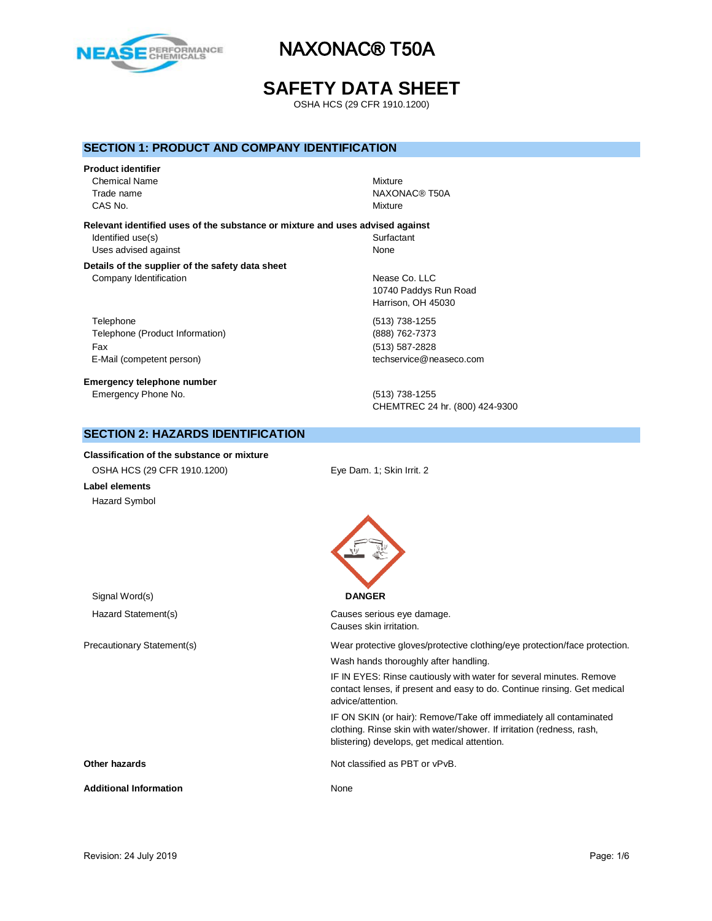

## **SAFETY DATA SHEET**

OSHA HCS (29 CFR 1910.1200)

#### **SECTION 1: PRODUCT AND COMPANY IDENTIFICATION**

## **Product identifier**

Chemical Name Mixture CAS No. Notice that the contract of the contract of the contract of the contract of the contract of the contract of the contract of the contract of the contract of the contract of the contract of the contract of the contra

Trade name NAXONAC® T50A

**Relevant identified uses of the substance or mixture and uses advised against** Identified use(s) Surfactant Uses advised against None

**Details of the supplier of the safety data sheet**

Telephone (513) 738-1255 Telephone (Product Information) (888) 762-7373 Fax (513) 587-2828

**Emergency telephone number** Emergency Phone No. (513) 738-1255

Company Identification **Nearly 10** and 200 and 200 and 200 and 200 and 200 and 200 and 200 and 200 and 200 and 200 and 200 and 200 and 200 and 200 and 200 and 200 and 200 and 200 and 200 and 200 and 200 and 200 and 200 and 10740 Paddys Run Road Harrison, OH 45030

E-Mail (competent person) example the techservice@neaseco.com

CHEMTREC 24 hr. (800) 424-9300

### **SECTION 2: HAZARDS IDENTIFICATION**

**Classification of the substance or mixture**

OSHA HCS (29 CFR 1910.1200) Eye Dam. 1; Skin Irrit. 2 **Label elements** Hazard Symbol

Signal Word(s) **DANGER**

Hazard Statement(s) example a control control Causes serious eye damage. Causes skin irritation.

Precautionary Statement(s) Wear protective gloves/protective clothing/eye protection/face protection.

Wash hands thoroughly after handling.

IF IN EYES: Rinse cautiously with water for several minutes. Remove contact lenses, if present and easy to do. Continue rinsing. Get medical advice/attention.

IF ON SKIN (or hair): Remove/Take off immediately all contaminated clothing. Rinse skin with water/shower. If irritation (redness, rash, blistering) develops, get medical attention.

**Other hazards Not classified as PBT or vPvB.** Not classified as PBT or vPvB.

Additional Information **None** None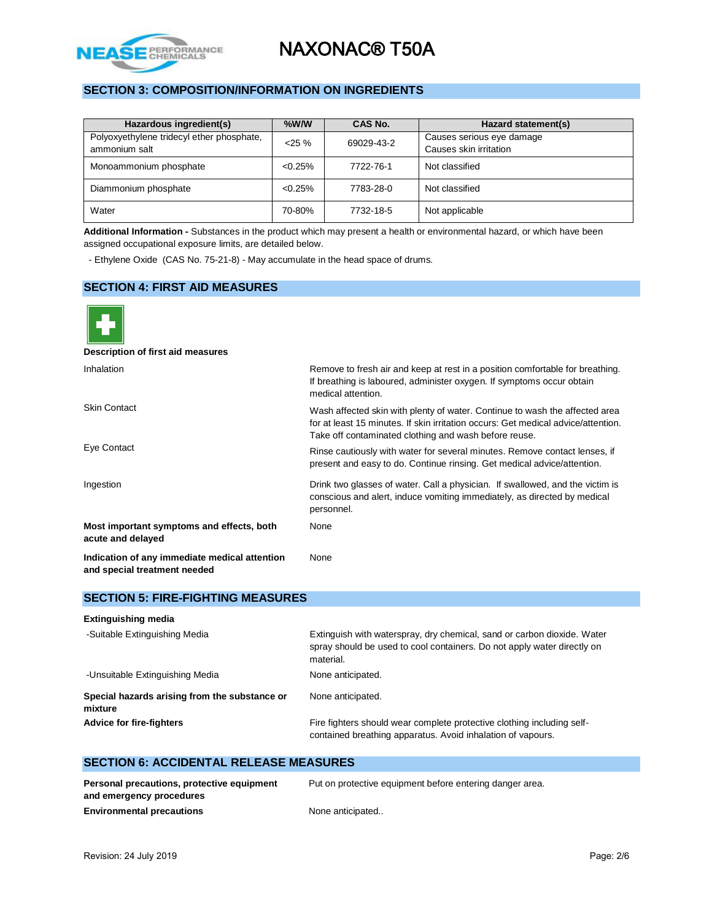

### **SECTION 3: COMPOSITION/INFORMATION ON INGREDIENTS**

| Hazardous ingredient(s)                                    | $%$ W/W    | CAS No.    | Hazard statement(s)                                 |
|------------------------------------------------------------|------------|------------|-----------------------------------------------------|
| Polyoxyethylene tridecyl ether phosphate,<br>ammonium salt | $<$ 25 %   | 69029-43-2 | Causes serious eye damage<br>Causes skin irritation |
| Monoammonium phosphate                                     | $< 0.25\%$ | 7722-76-1  | Not classified                                      |
| Diammonium phosphate                                       | $< 0.25\%$ | 7783-28-0  | Not classified                                      |
| Water                                                      | 70-80%     | 7732-18-5  | Not applicable                                      |

**Additional Information -** Substances in the product which may present a health or environmental hazard, or which have been assigned occupational exposure limits, are detailed below.

- Ethylene Oxide (CAS No. 75-21-8) - May accumulate in the head space of drums.

### **SECTION 4: FIRST AID MEASURES**



| <b>SECTION 5: FIRE-FIGHTING MEASURES</b>                 |                                                                                                                                                                 |  |  |  |
|----------------------------------------------------------|-----------------------------------------------------------------------------------------------------------------------------------------------------------------|--|--|--|
| <b>Extinguishing media</b>                               |                                                                                                                                                                 |  |  |  |
| -Suitable Extinguishing Media                            | Extinguish with waterspray, dry chemical, sand or carbon dioxide. Water<br>spray should be used to cool containers. Do not apply water directly on<br>material. |  |  |  |
| -Unsuitable Extinguishing Media                          | None anticipated.                                                                                                                                               |  |  |  |
| Special hazards arising from the substance or<br>mixture | None anticipated.                                                                                                                                               |  |  |  |
| <b>Advice for fire-fighters</b>                          | Fire fighters should wear complete protective clothing including self-<br>contained breathing apparatus. Avoid inhalation of vapours.                           |  |  |  |

### **SECTION 6: ACCIDENTAL RELEASE MEASURES**

| Personal precautions, protective equipment | Put on protective equipment before entering danger area. |
|--------------------------------------------|----------------------------------------------------------|
| and emergency procedures                   |                                                          |
| <b>Environmental precautions</b>           | None anticipated                                         |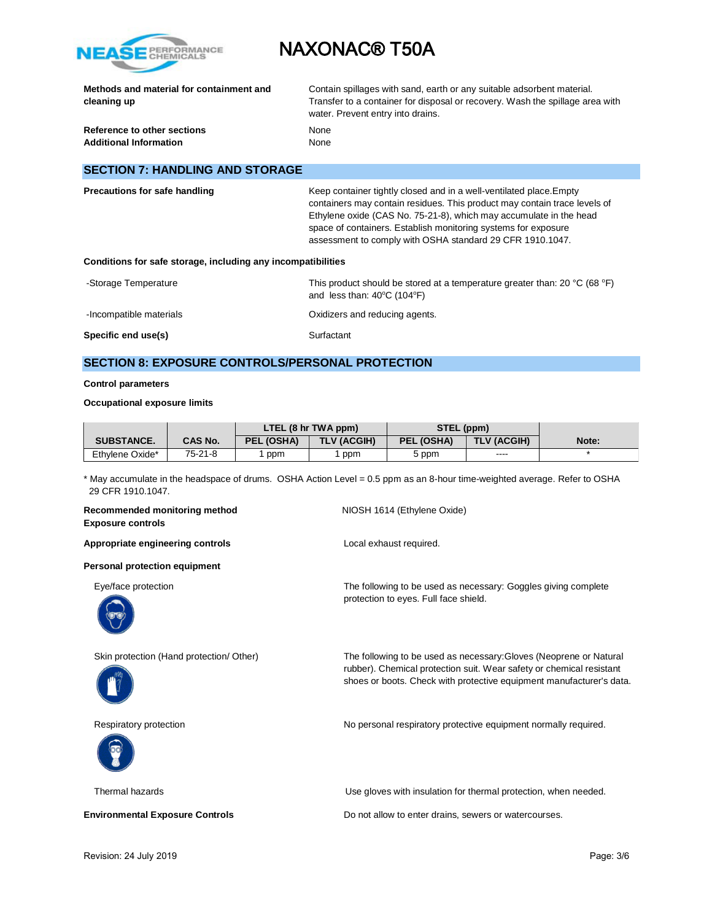

|             |  | Methods and material for containment and |
|-------------|--|------------------------------------------|
| cleaning up |  |                                          |

Contain spillages with sand, earth or any suitable adsorbent material. Transfer to a container for disposal or recovery. Wash the spillage area with water. Prevent entry into drains.

**Reference to other sections None** Additional Information<br>
None

### **SECTION 7: HANDLING AND STORAGE**

| Precautions for safe handling                                | Keep container tightly closed and in a well-ventilated place. Empty<br>containers may contain residues. This product may contain trace levels of<br>Ethylene oxide (CAS No. 75-21-8), which may accumulate in the head<br>space of containers. Establish monitoring systems for exposure<br>assessment to comply with OSHA standard 29 CFR 1910.1047. |  |  |  |  |
|--------------------------------------------------------------|-------------------------------------------------------------------------------------------------------------------------------------------------------------------------------------------------------------------------------------------------------------------------------------------------------------------------------------------------------|--|--|--|--|
| Conditions for safe storage, including any incompatibilities |                                                                                                                                                                                                                                                                                                                                                       |  |  |  |  |

-Storage Temperature This product should be stored at a temperature greater than: 20 °C (68 °F) and less than:  $40^{\circ}$ C (104 $^{\circ}$ F) -Incompatible materials **Compatible materials COXID**  $\alpha$  Oxidizers and reducing agents. **Specific end use(s)** Surfactant

### **SECTION 8: EXPOSURE CONTROLS/PERSONAL PROTECTION**

#### **Control parameters**

#### **Occupational exposure limits**

|                   |         | LTEL (8 hr TWA ppm) |                    | STEL (ppm)        |             |       |
|-------------------|---------|---------------------|--------------------|-------------------|-------------|-------|
| <b>SUBSTANCE.</b> | CAS No. | <b>PEL (OSHA)</b>   | <b>TLV (ACGIH)</b> | <b>PEL (OSHA)</b> | TLV (ACGIH) | Note: |
| Ethylene Oxide*   | 75-21-8 | ppm                 | ppm                | 5 ppm             | $- - - -$   |       |

\* May accumulate in the headspace of drums. OSHA Action Level = 0.5 ppm as an 8-hour time-weighted average. Refer to OSHA 29 CFR 1910.1047.

**Recommended monitoring method NIOSH 1614 (Ethylene Oxide) Exposure controls** Appropriate engineering controls **Appropriate engineering controls Local exhaust required. Personal protection equipment** Eye/face protection The following to be used as necessary: Goggles giving complete protection to eyes. Full face shield. Skin protection (Hand protection/ Other) The following to be used as necessary:Gloves (Neoprene or Natural rubber). Chemical protection suit. Wear safety or chemical resistant shoes or boots. Check with protective equipment manufacturer's data. Respiratory protection **No personal respiratory protective equipment normally required.** Thermal hazards Use gloves with insulation for thermal protection, when needed.

**Environmental Exposure Controls Do not allow to enter drains, sewers or watercourses.**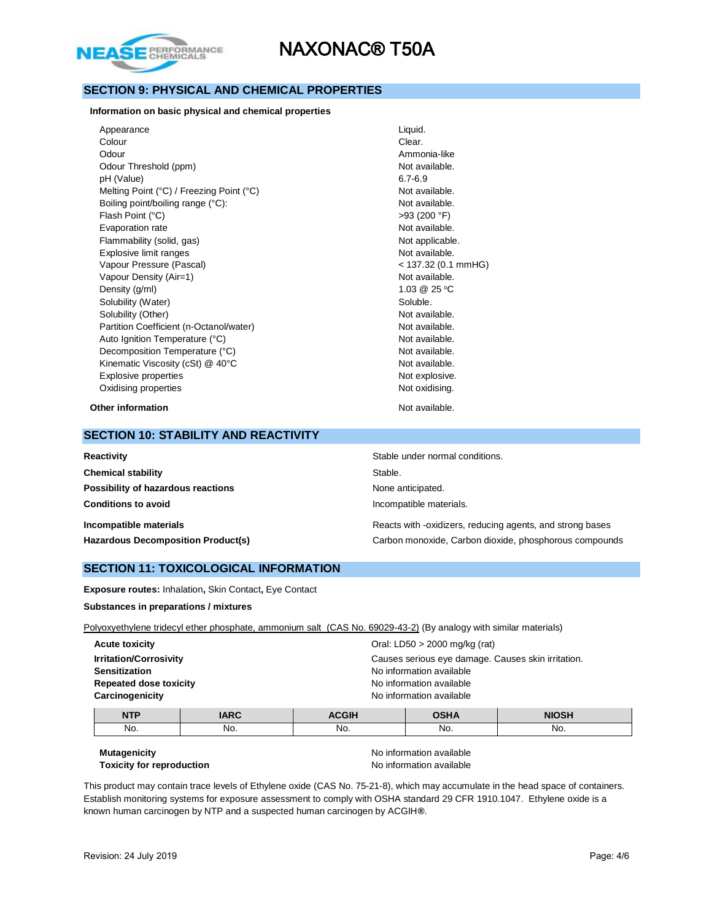

### **SECTION 9: PHYSICAL AND CHEMICAL PROPERTIES**

**Information on basic physical and chemical properties**

| Appearance                               | Liquid.             |
|------------------------------------------|---------------------|
| Colour                                   | Clear.              |
| Odour                                    | Ammonia-like        |
| Odour Threshold (ppm)                    | Not available.      |
| pH (Value)                               | $6.7 - 6.9$         |
| Melting Point (°C) / Freezing Point (°C) | Not available.      |
| Boiling point/boiling range (°C):        | Not available.      |
| Flash Point (°C)                         | >93(200 °F)         |
| Evaporation rate                         | Not available.      |
| Flammability (solid, gas)                | Not applicable.     |
| Explosive limit ranges                   | Not available.      |
| Vapour Pressure (Pascal)                 | < 137.32 (0.1 mmHG) |
| Vapour Density (Air=1)                   | Not available.      |
| Density (g/ml)                           | 1.03 @ 25 °C        |
| Solubility (Water)                       | Soluble.            |
| Solubility (Other)                       | Not available.      |
| Partition Coefficient (n-Octanol/water)  | Not available.      |
| Auto Ignition Temperature (°C)           | Not available.      |
| Decomposition Temperature (°C)           | Not available.      |
| Kinematic Viscosity (cSt) @ 40°C         | Not available.      |
| Explosive properties                     | Not explosive.      |
| Oxidising properties                     | Not oxidising.      |
| Other information                        | Not available.      |

#### **SECTION 10: STABILITY AND REACTIVITY**

| Reactivity                                | Stable under normal conditions.                           |
|-------------------------------------------|-----------------------------------------------------------|
| <b>Chemical stability</b>                 | Stable.                                                   |
| Possibility of hazardous reactions        | None anticipated.                                         |
| <b>Conditions to avoid</b>                | Incompatible materials.                                   |
| Incompatible materials                    | Reacts with -oxidizers, reducing agents, and strong bases |
| <b>Hazardous Decomposition Product(s)</b> | Carbon monoxide, Carbon dioxide, phosphorous compounds    |

#### **SECTION 11: TOXICOLOGICAL INFORMATION**

**Exposure routes:** Inhalation**,** Skin Contact**,** Eye Contact

**Substances in preparations / mixtures**

Polyoxyethylene tridecyl ether phosphate, ammonium salt (CAS No. 69029-43-2) (By analogy with similar materials)

| <b>Acute toxicity</b>         | Oral: LD50 > 2000 mg/kg (rat)                      |  |  |
|-------------------------------|----------------------------------------------------|--|--|
| <b>Irritation/Corrosivity</b> | Causes serious eye damage. Causes skin irritation. |  |  |
| <b>Sensitization</b>          | No information available                           |  |  |
| <b>Repeated dose toxicity</b> | No information available                           |  |  |
| Carcinogenicity               | No information available                           |  |  |

| <b>NTP</b> | <b>IARC</b> | <b>ACGIH</b> | <b>OSHA</b> | <b>NIOSH</b> |
|------------|-------------|--------------|-------------|--------------|
| No.        | No.         | No.          | No.         | No.          |

## **Mutagenicity Mutagenicity No** information available

**Toxicity for reproduction No information available** 

This product may contain trace levels of Ethylene oxide (CAS No. 75-21-8), which may accumulate in the head space of containers. Establish monitoring systems for exposure assessment to comply with OSHA standard 29 CFR 1910.1047. Ethylene oxide is a known human carcinogen by NTP and a suspected human carcinogen by ACGIH**®**.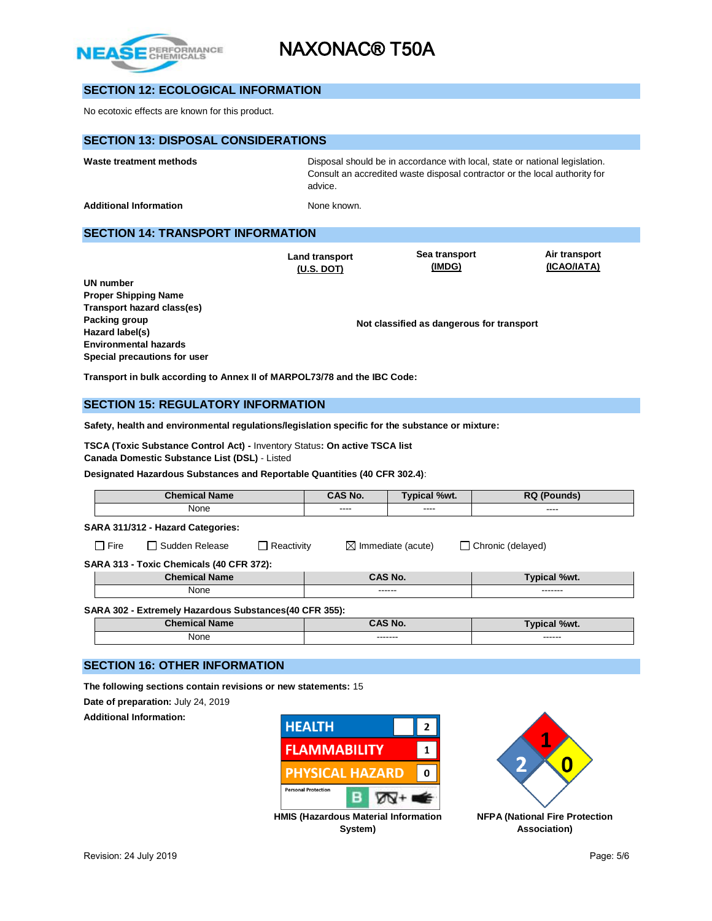

## **SECTION 12: ECOLOGICAL INFORMATION**

No ecotoxic effects are known for this product.

| <b>SECTION 13: DISPOSAL CONSIDERATIONS</b>                                                                                                                           |                                     |                                                                                                                                                           |                              |  |
|----------------------------------------------------------------------------------------------------------------------------------------------------------------------|-------------------------------------|-----------------------------------------------------------------------------------------------------------------------------------------------------------|------------------------------|--|
| Waste treatment methods                                                                                                                                              | advice.                             | Disposal should be in accordance with local, state or national legislation.<br>Consult an accredited waste disposal contractor or the local authority for |                              |  |
| <b>Additional Information</b>                                                                                                                                        | None known.                         |                                                                                                                                                           |                              |  |
| <b>SECTION 14: TRANSPORT INFORMATION</b>                                                                                                                             |                                     |                                                                                                                                                           |                              |  |
| UN number                                                                                                                                                            | <b>Land transport</b><br>(U.S. DOT) | Sea transport<br>(IMDG)                                                                                                                                   | Air transport<br>(ICAO/IATA) |  |
| <b>Proper Shipping Name</b><br><b>Transport hazard class(es)</b><br>Packing group<br>Hazard label(s)<br><b>Environmental hazards</b><br>Special precautions for user |                                     | Not classified as dangerous for transport                                                                                                                 |                              |  |
| Transport in bulk according to Annex II of MARPOL73/78 and the IBC Code:                                                                                             |                                     |                                                                                                                                                           |                              |  |
| <b>SECTION 15: REGULATORY INFORMATION</b>                                                                                                                            |                                     |                                                                                                                                                           |                              |  |

**Safety, health and environmental regulations/legislation specific for the substance or mixture:**

**TSCA (Toxic Substance Control Act) -** Inventory Status**: On active TSCA list Canada Domestic Substance List (DSL)** - Listed

**Designated Hazardous Substances and Reportable Quantities (40 CFR 302.4)**:

|                                                         | <b>Chemical Name</b>                                   |                   | CAS No. | <b>Typical %wt.</b>           | <b>RQ (Pounds)</b>  |
|---------------------------------------------------------|--------------------------------------------------------|-------------------|---------|-------------------------------|---------------------|
|                                                         | None                                                   |                   | ----    | ----                          | ----                |
| SARA 311/312 - Hazard Categories:                       |                                                        |                   |         |                               |                     |
| $\Box$ Fire                                             | $\Box$ Sudden Release                                  | $\Box$ Reactivity |         | $\boxtimes$ Immediate (acute) | Chronic (delayed)   |
|                                                         | SARA 313 - Toxic Chemicals (40 CFR 372):               |                   |         |                               |                     |
|                                                         | CAS No.<br><b>Chemical Name</b><br><b>Typical %wt.</b> |                   |         |                               |                     |
|                                                         | None                                                   |                   | ------  |                               | -------             |
| SARA 302 - Extremely Hazardous Substances (40 CFR 355): |                                                        |                   |         |                               |                     |
|                                                         | <b>Chemical Name</b>                                   |                   | CAS No. |                               | <b>Typical %wt.</b> |
|                                                         | None                                                   |                   | ------- |                               | ------              |

### **SECTION 16: OTHER INFORMATION**

**The following sections contain revisions or new statements:** 15

**Date of preparation:** July 24, 2019

**Additional Information:**





**System)**